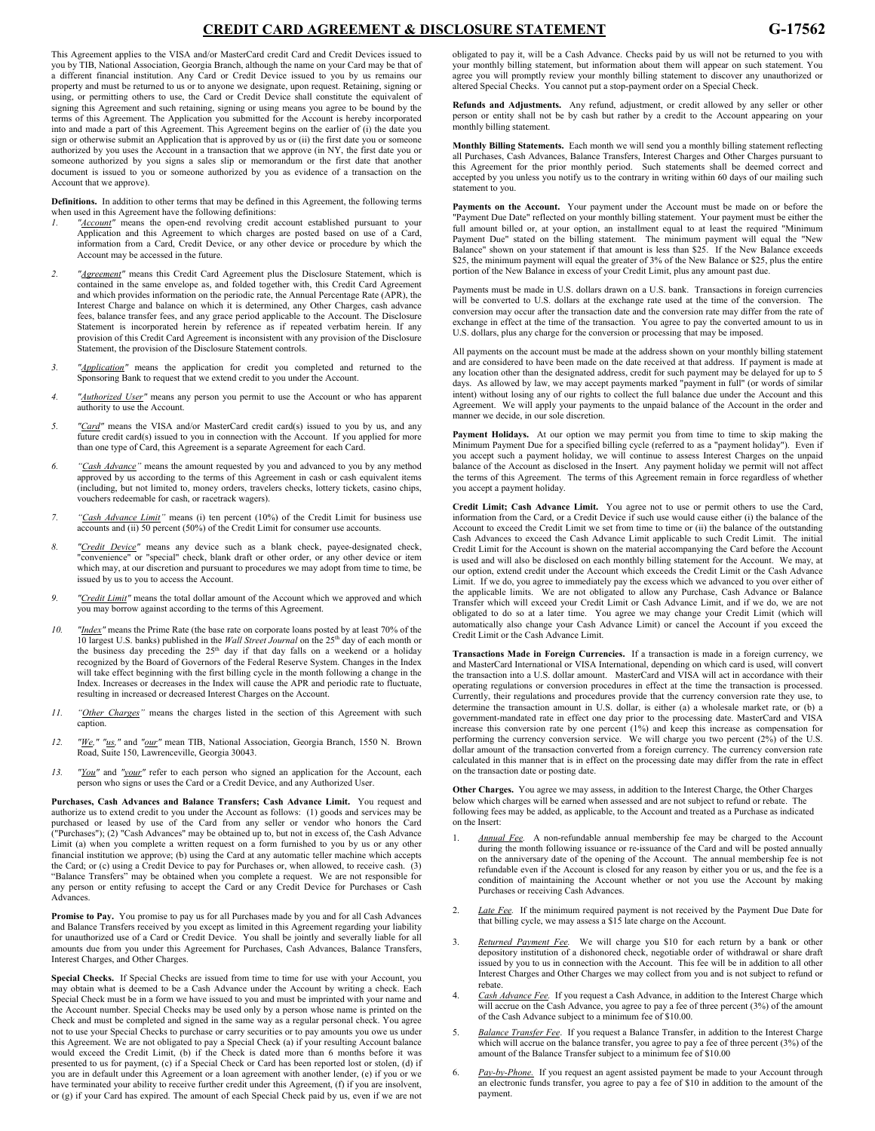# **CREDIT CARD AGREEMENT & DISCLOSURE STATEMENT G-17562**

This Agreement applies to the VISA and/or MasterCard credit Card and Credit Devices issued to you by TIB, National Association, Georgia Branch, although the name on your Card may be that of a different financial institution. Any Card or Credit Device issued to you by us remains our property and must be returned to us or to anyone we designate, upon request. Retaining, signing or using, or permitting others to use, the Card or Credit Device shall constitute the equivalent of signing this Agreement and such retaining, signing or using means you agree to be bound by the terms of this Agreement. The Application you submitted for the Account is hereby incorporated into and made a part of this Agreement. This Agreement begins on the earlier of (i) the date you sign or otherwise submit an Application that is approved by us or (ii) the first date you or someone authorized by you uses the Account in a transaction that we approve (in NY, the first date you or someone authorized by you signs a sales slip or memorandum or the first date that another document is issued to you or someone authorized by you as evidence of a transaction on the Account that we approve).

**Definitions.** In addition to other terms that may be defined in this Agreement, the following terms when used in this Agreement have the following definitions:

- *1. "Account"* means the open-end revolving credit account established pursuant to your Application and this Agreement to which charges are posted based on use of a Card, information from a Card, Credit Device, or any other device or procedure by which the Account may be accessed in the future.
- *2. "Agreement"* means this Credit Card Agreement plus the Disclosure Statement, which is contained in the same envelope as, and folded together with, this Credit Card Agreement and which provides information on the periodic rate, the Annual Percentage Rate (APR), the Interest Charge and balance on which it is determined, any Other Charges, cash advance fees, balance transfer fees, and any grace period applicable to the Account. The Disclosure Statement is incorporated herein by reference as if repeated verbatim herein. If any provision of this Credit Card Agreement is inconsistent with any provision of the Disclosure Statement, the provision of the Disclosure Statement controls.
- *3. "Application"* means the application for credit you completed and returned to the Sponsoring Bank to request that we extend credit to you under the Account.
- *4. "Authorized User"* means any person you permit to use the Account or who has apparent authority to use the Account.
- *5. "Card"* means the VISA and/or MasterCard credit card(s) issued to you by us, and any future credit card(s) issued to you in connection with the Account. If you applied for more than one type of Card, this Agreement is a separate Agreement for each Card.
- *6. "Cash Advance"* means the amount requested by you and advanced to you by any method approved by us according to the terms of this Agreement in cash or cash equivalent items (including, but not limited to, money orders, travelers checks, lottery tickets, casino chips, vouchers redeemable for cash, or racetrack wagers).
- *7. "Cash Advance Limit"* means (i) ten percent (10%) of the Credit Limit for business use accounts and (ii) 50 percent (50%) of the Credit Limit for consumer use accounts.
- *8. "Credit Device"* means any device such as a blank check, payee-designated check, "convenience" or "special" check, blank draft or other order, or any other device or item which may, at our discretion and pursuant to procedures we may adopt from time to time, be issued by us to you to access the Account.
- *9. "Credit Limit"* means the total dollar amount of the Account which we approved and which you may borrow against according to the terms of this Agreement.
- *10. "Index"* means the Prime Rate (the base rate on corporate loans posted by at least 70% of the 10 largest U.S. banks) published in the *Wall Street Journal* on the 25th day of each month or the business day preceding the 25<sup>th</sup> day if that day falls on a weekend or a holiday recognized by the Board of Governors of the Federal Reserve System. Changes in the Index will take effect beginning with the first billing cycle in the month following a change in the Index. Increases or decreases in the Index will cause the APR and periodic rate to fluctuate, resulting in increased or decreased Interest Charges on the Account.
- *11. "Other Charges"* means the charges listed in the section of this Agreement with such caption.
- *12. "We," "us,"* and *"our"* mean TIB, National Association, Georgia Branch, 1550 N. Brown Road, Suite 150, Lawrenceville, Georgia 30043.
- *13. "You"* and *"your"* refer to each person who signed an application for the Account, each person who signs or uses the Card or a Credit Device, and any Authorized User.

**Purchases, Cash Advances and Balance Transfers; Cash Advance Limit.** You request and authorize us to extend credit to you under the Account as follows: (1) goods and services may be purchased or leased by use of the Card from any seller or vendor who honors the Card ("Purchases"); (2) "Cash Advances" may be obtained up to, but not in excess of, the Cash Advance Limit (a) when you complete a written request on a form furnished to you by us or any other financial institution we approve; (b) using the Card at any automatic teller machine which accepts the Card; or (c) using a Credit Device to pay for Purchases or, when allowed, to receive cash. (3) "Balance Transfers" may be obtained when you complete a request. We are not responsible for any person or entity refusing to accept the Card or any Credit Device for Purchases or Cash Advances.

**Promise to Pay.** You promise to pay us for all Purchases made by you and for all Cash Advances and Balance Transfers received by you except as limited in this Agreement regarding your liability for unauthorized use of a Card or Credit Device. You shall be jointly and severally liable for all amounts due from you under this Agreement for Purchases, Cash Advances, Balance Transfers, Interest Charges, and Other Charges.

**Special Checks.** If Special Checks are issued from time to time for use with your Account, you may obtain what is deemed to be a Cash Advance under the Account by writing a check. Each Special Check must be in a form we have issued to you and must be imprinted with your name and the Account number. Special Checks may be used only by a person whose name is printed on the Check and must be completed and signed in the same way as a regular personal check. You agree not to use your Special Checks to purchase or carry securities or to pay amounts you owe us under this Agreement. We are not obligated to pay a Special Check (a) if your resulting Account balance would exceed the Credit Limit, (b) if the Check is dated more than 6 months before it was presented to us for payment, (c) if a Special Check or Card has been reported lost or stolen, (d) if you are in default under this Agreement or a loan agreement with another lender, (e) if you or we have terminated your ability to receive further credit under this Agreement, (f) if you are insolvent, or (g) if your Card has expired. The amount of each Special Check paid by us, even if we are not obligated to pay it, will be a Cash Advance. Checks paid by us will not be returned to you with your monthly billing statement, but information about them will appear on such statement. You agree you will promptly review your monthly billing statement to discover any unauthorized or altered Special Checks. You cannot put a stop-payment order on a Special Check.

**Refunds and Adjustments.** Any refund, adjustment, or credit allowed by any seller or other person or entity shall not be by cash but rather by a credit to the Account appearing on your monthly billing statement.

**Monthly Billing Statements.** Each month we will send you a monthly billing statement reflecting all Purchases, Cash Advances, Balance Transfers, Interest Charges and Other Charges pursuant to this Agreement for the prior monthly period. Such statements shall be deemed correct and accepted by you unless you notify us to the contrary in writing within 60 days of our mailing such statement to you.

**Payments on the Account.** Your payment under the Account must be made on or before the "Payment Due Date" reflected on your monthly billing statement. Your payment must be either the full amount billed or, at your option, an installment equal to at least the required "Minimum<br>Payment Due" stated on the billing statement. The minimum payment will equal the "New<br>Balance" shown on your statement if that a \$25, the minimum payment will equal the greater of 3% of the New Balance or \$25, plus the entire portion of the New Balance in excess of your Credit Limit, plus any amount past due.

Payments must be made in U.S. dollars drawn on a U.S. bank. Transactions in foreign currencies will be converted to U.S. dollars at the exchange rate used at the time of the conversion. The conversion may occur after the transaction date and the conversion rate may differ from the rate of exchange in effect at the time of the transaction. You agree to pay the converted amount to us in U.S. dollars, plus any charge for the conversion or processing that may be imposed.

All payments on the account must be made at the address shown on your monthly billing statement and are considered to have been made on the date received at that address. If payment is made at any location other than the designated address, credit for such payment may be delayed for up to 5 days. As allowed by law, we may accept payments marked "payment in full" (or words of similar intent) without losing any of our rights to collect the full balance due under the Account and this Agreement. We will apply your payments to the unpaid balance of the Account in the order and manner we decide, in our sole discretion.

**Payment Holidays.** At our option we may permit you from time to time to skip making the Minimum Payment Due for a specified billing cycle (referred to as a "payment holiday"). Even if you accept such a payment holiday, we will continue to assess Interest Charges on the unpaid balance of the Account as disclosed in the Insert. Any payment holiday we permit will not affect the terms of this Agreement. The terms of this Agreement remain in force regardless of whether you accept a payment holiday.

**Credit Limit; Cash Advance Limit.** You agree not to use or permit others to use the Card, information from the Card, or a Credit Device if such use would cause either (i) the balance of the Account to exceed the Credit Limit we set from time to time or (ii) the balance of the outstanding Cash Advances to exceed the Cash Advance Limit applicable to such Credit Limit. The initial Credit Limit for the Account is shown on the material accompanying the Card before the Account is used and will also be disclosed on each monthly billing statement for the Account. We may, at our option, extend credit under the Account which exceeds the Credit Limit or the Cash Advance Limit. If we do, you agree to immediately pay the excess which we advanced to you over either of the applicable limits. We are not obligated to allow any Purchase, Cash Advance or Balance Transfer which will exceed your Credit Limit or Cash Advance Limit, and if we do, we are not obligated to do so at a later time. You agree we may change your Credit Limit (which will automatically also change your Cash Advance Limit) or cancel the Account if you exceed the Credit Limit or the Cash Advance Limit.

**Transactions Made in Foreign Currencies.** If a transaction is made in a foreign currency, we and MasterCard International or VISA International, depending on which card is used, will convert the transaction into a U.S. dollar amount. MasterCard and VISA will act in accordance with their operating regulations or conversion procedures in effect at the time the transaction is processed. Currently, their regulations and procedures provide that the currency conversion rate they use, to determine the transaction amount in U.S. dollar, is either (a) a wholesale market rate, or (b) a government-mandated rate in effect one day prior to the processing date. MasterCard and VISA increase this conversion rate by one percent (1%) and keep this increase as compensation for performing the currency conversion service. We will charge you two percent (2%) of the U.S. dollar amount of the transaction converted from a foreign currency. The currency conversion rate calculated in this manner that is in effect on the processing date may differ from the rate in effect on the transaction date or posting date.

**Other Charges.** You agree we may assess, in addition to the Interest Charge, the Other Charges below which charges will be earned when assessed and are not subject to refund or rebate. The following fees may be added, as applicable, to the Account and treated as a Purchase as indicated on the Insert:

- 1. *Annual Fee.* A non-refundable annual membership fee may be charged to the Account during the month following issuance or re-issuance of the Card and will be posted annually on the anniversary date of the opening of the Account. The annual membership fee is not refundable even if the Account is closed for any reason by either you or us, and the fee is a condition of maintaining the Account whether or not you use the Account by making Purchases or receiving Cash Advances.
- 2. *Late Fee.* If the minimum required payment is not received by the Payment Due Date for that billing cycle, we may assess a \$15 late charge on the Account.
- 3. *Returned Payment Fee.* We will charge you \$10 for each return by a bank or other depository institution of a dishonored check, negotiable order of withdrawal or share draft issued by you to us in connection with the Account. This fee will be in addition to all other Interest Charges and Other Charges we may collect from you and is not subject to refund or rebate.
- Cash Advance Fee. If you request a Cash Advance, in addition to the Interest Charge which will accrue on the Cash Advance, you agree to pay a fee of three percent (3%) of the amount of the Cash Advance subject to a minimum fee of \$10.00.
- 5. *Balance Transfer Fee*. If you request a Balance Transfer, in addition to the Interest Charge which will accrue on the balance transfer, you agree to pay a fee of three percent (3%) of the amount of the Balance Transfer subject to a minimum fee of \$10.00
- 6. *Pay-by-Phone.* If you request an agent assisted payment be made to your Account through an electronic funds transfer, you agree to pay a fee of \$10 in addition to the amount of the payment.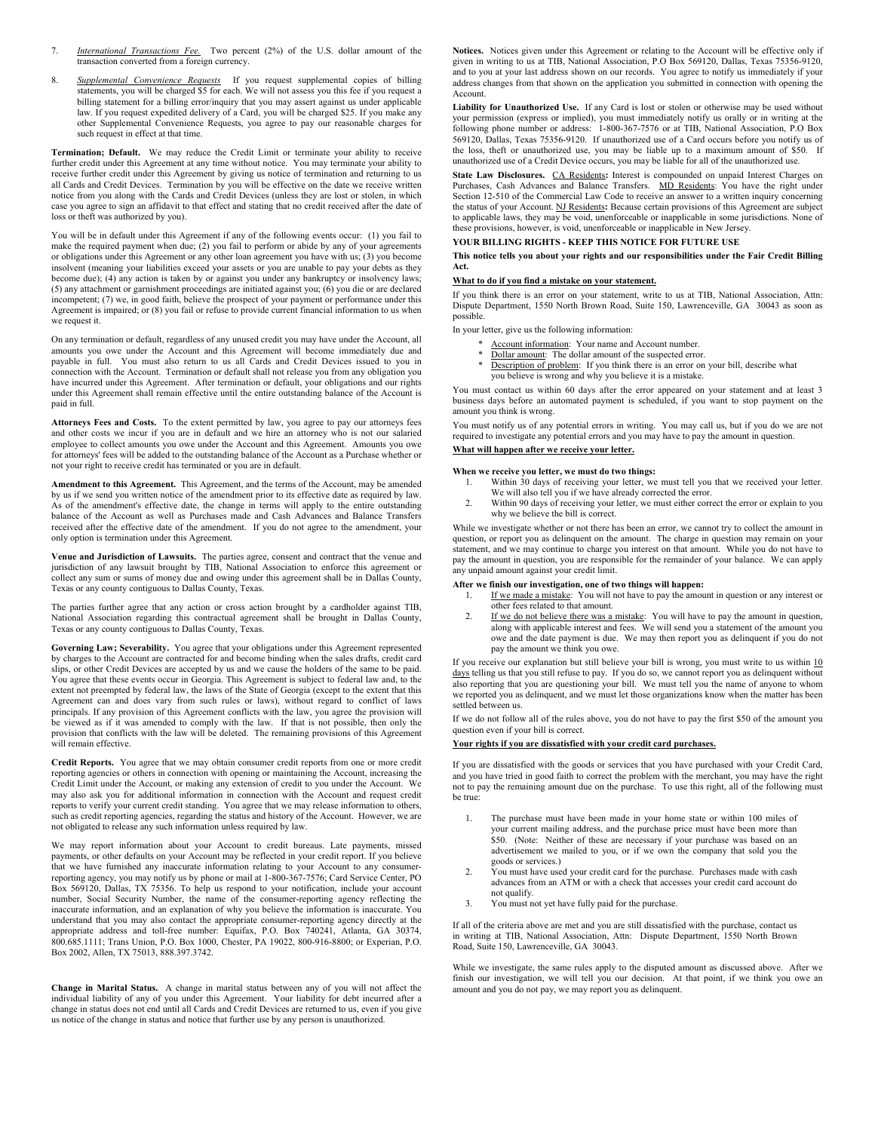- 7. *International Transactions Fee.* Two percent (2%) of the U.S. dollar amount of the transaction converted from a foreign currency.
- 8. *Supplemental Convenience Requests* If you request supplemental copies of billing statements, you will be charged \$5 for each. We will not assess you this fee if you request a billing statement for a billing error/inquiry that you may assert against us under applicable law. If you request expedited delivery of a Card, you will be charged \$25. If you make any other Supplemental Convenience Requests, you agree to pay our reasonable charges for such request in effect at that time.

**Termination; Default.** We may reduce the Credit Limit or terminate your ability to receive further credit under this Agreement at any time without notice. You may terminate your ability to receive further credit under this Agreement by giving us notice of termination and returning to us all Cards and Credit Devices. Termination by you will be effective on the date we receive written notice from you along with the Cards and Credit Devices (unless they are lost or stolen, in which case you agree to sign an affidavit to that effect and stating that no credit received after the date of loss or theft was authorized by you).

You will be in default under this Agreement if any of the following events occur: (1) you fail to make the required payment when due; (2) you fail to perform or abide by any of your agreements or obligations under this Agreement or any other loan agreement you have with us; (3) you become insolvent (meaning your liabilities exceed your assets or you are unable to pay your debts as they become due); (4) any action is taken by or against you under any bankruptcy or insolvency laws; (5) any attachment or garnishment proceedings are initiated against you; (6) you die or are declared incompetent; (7) we, in good faith, believe the prospect of your payment or performance under this Agreement is impaired; or (8) you fail or refuse to provide current financial information to us when we request it.

On any termination or default, regardless of any unused credit you may have under the Account, all amounts you owe under the Account and this Agreement will become immediately due and payable in full. You must also return to us all Cards and Credit Devices issued to you in connection with the Account. Termination or default shall not release you from any obligation you have incurred under this Agreement. After termination or default, your obligations and our rights under this Agreement shall remain effective until the entire outstanding balance of the Account is paid in full.

**Attorneys Fees and Costs.** To the extent permitted by law, you agree to pay our attorneys fees and other costs we incur if you are in default and we hire an attorney who is not our salaried employee to collect amounts you owe under the Account and this Agreement. Amounts you owe for attorneys' fees will be added to the outstanding balance of the Account as a Purchase whether or not your right to receive credit has terminated or you are in default.

**Amendment to this Agreement.** This Agreement, and the terms of the Account, may be amended by us if we send you written notice of the amendment prior to its effective date as required by law. As of the amendment's effective date, the change in terms will apply to the entire outstanding balance of the Account as well as Purchases made and Cash Advances and Balance Transfers received after the effective date of the amendment. If you do not agree to the amendment, your only option is termination under this Agreement.

**Venue and Jurisdiction of Lawsuits.** The parties agree, consent and contract that the venue and jurisdiction of any lawsuit brought by TIB, National Association to enforce this agreement or collect any sum or sums of money due and owing under this agreement shall be in Dallas County, Texas or any county contiguous to Dallas County, Texas.

The parties further agree that any action or cross action brought by a cardholder against TIB, National Association regarding this contractual agreement shall be brought in Dallas County, Texas or any county contiguous to Dallas County, Texas.

**Governing Law; Severability.** You agree that your obligations under this Agreement represented by charges to the Account are contracted for and become binding when the sales drafts, credit card slips, or other Credit Devices are accepted by us and we cause the holders of the same to be paid. You agree that these events occur in Georgia. This Agreement is subject to federal law and, to the extent not preempted by federal law, the laws of the State of Georgia (except to the extent that this Agreement can and does vary from such rules or laws), without regard to conflict of laws principals. If any provision of this Agreement conflicts with the law, you agree the provision will be viewed as if it was amended to comply with the law. If that is not possible, then only the provision that conflicts with the law will be deleted. The remaining provisions of this Agreement will remain effective.

**Credit Reports.** You agree that we may obtain consumer credit reports from one or more credit reporting agencies or others in connection with opening or maintaining the Account, increasing the Credit Limit under the Account, or making any extension of credit to you under the Account. We may also ask you for additional information in connection with the Account and request credit reports to verify your current credit standing. You agree that we may release information to others, such as credit reporting agencies, regarding the status and history of the Account. However, we are not obligated to release any such information unless required by law.

We may report information about your Account to credit bureaus. Late payments, missed payments, or other defaults on your Account may be reflected in your credit report. If you believe that we have furnished any inaccurate information relating to your Account to any consumerreporting agency, you may notify us by phone or mail at 1-800-367-7576; Card Service Center, PO Box 569120, Dallas, TX 75356. To help us respond to your notification, include your account number, Social Security Number, the name of the consumer-reporting agency reflecting the inaccurate information, and an explanation of why you believe the information is inaccurate. You understand that you may also contact the appropriate consumer-reporting agency directly at the appropriate address and toll-free number: Equifax, P.O. Box 740241, Atlanta, GA 30374, 800.685.1111; Trans Union, P.O. Box 1000, Chester, PA 19022, 800-916-8800; or Experian, P.O. Box 2002, Allen, TX 75013, 888.397.3742.

**Change in Marital Status.** A change in marital status between any of you will not affect the individual liability of any of you under this Agreement. Your liability for debt incurred after a change in status does not end until all Cards and Credit Devices are returned to us, even if you give us notice of the change in status and notice that further use by any person is unauthorized.

**Notices.** Notices given under this Agreement or relating to the Account will be effective only if given in writing to us at TIB, National Association, P.O Box 569120, Dallas, Texas 75356-9120, and to you at your last address shown on our records. You agree to notify us immediately if your address changes from that shown on the application you submitted in connection with opening the Account.

**Liability for Unauthorized Use.** If any Card is lost or stolen or otherwise may be used without your permission (express or implied), you must immediately notify us orally or in writing at the following phone number or address: 1-800-367-7576 or at TIB, National Association, P.O Box 569120, Dallas, Texas 75356-9120. If unauthorized use of a Card occurs before you notify us of the loss, theft or unauthorized use, you may be liable up to a maximum amount of \$50. If unauthorized use of a Credit Device occurs, you may be liable for all of the unauthorized use.

State Law Disclosures. CA Residents: Interest is compounded on unpaid Interest Charges on Purchases, Cash Advances and Balance Transfers. MD Residents: You have the right under Section 12-510 of the Commercial Law Code to receive an answer to a written inquiry concerning the status of your Account. NJ Residents**:** Because certain provisions of this Agreement are subject to applicable laws, they may be void, unenforceable or inapplicable in some jurisdictions. None of these provisions, however, is void, unenforceable or inapplicable in New Jersey.

## **YOUR BILLING RIGHTS - KEEP THIS NOTICE FOR FUTURE USE**

**This notice tells you about your rights and our responsibilities under the Fair Credit Billing Act.**

### **What to do if you find a mistake on your statement.**

If you think there is an error on your statement, write to us at TIB, National Association, Attn: Dispute Department, 1550 North Brown Road, Suite 150, Lawrenceville, GA 30043 as soon as possible.

In your letter, give us the following information:

- 
- \* Account information: Your name and Account number. \* Dollar amount: The dollar amount of the suspected error.
- Description of problem: If you think there is an error on your bill, describe what you believe is wrong and why you believe it is a mistake.
- 

You must contact us within 60 days after the error appeared on your statement and at least 3 business days before an automated payment is scheduled, if you want to stop payment on the amount you think is wrong.

You must notify us of any potential errors in writing. You may call us, but if you do we are not required to investigate any potential errors and you may have to pay the amount in question.

## **What will happen after we receive your letter.**

### **When we receive you letter, we must do two things:**

- Within 30 days of receiving your letter, we must tell you that we received your letter. We will also tell you if we have already corrected the error.
- 2. Within 90 days of receiving your letter, we must either correct the error or explain to you why we believe the bill is correct.

While we investigate whether or not there has been an error, we cannot try to collect the amount in question, or report you as delinquent on the amount. The charge in question may remain on your statement, and we may continue to charge you interest on that amount. While you do not have to pay the amount in question, you are responsible for the remainder of your balance. We can apply any unpaid amount against your credit limit.

#### **After we finish our investigation, one of two things will happen:**

- 1. If we made a mistake: You will not have to pay the amount in question or any interest or other fees related to that amount.
- 2. If we do not believe there was a mistake: You will have to pay the amount in question, along with applicable interest and fees. We will send you a statement of the amount you owe and the date payment is due. We may then report you as delinquent if you do not pay the amount we think you owe.

If you receive our explanation but still believe your bill is wrong, you must write to us within 10 days telling us that you still refuse to pay. If you do so, we cannot report you as delinquent without also reporting that you are questioning your bill. We must tell you the name of anyone to whom we reported you as delinquent, and we must let those organizations know when the matter has been settled between us.

If we do not follow all of the rules above, you do not have to pay the first \$50 of the amount you question even if your bill is correct.

### **Your rights if you are dissatisfied with your credit card purchases.**

If you are dissatisfied with the goods or services that you have purchased with your Credit Card, and you have tried in good faith to correct the problem with the merchant, you may have the right not to pay the remaining amount due on the purchase. To use this right, all of the following must be true:

- 1. The purchase must have been made in your home state or within 100 miles of your current mailing address, and the purchase price must have been more than \$50. (Note: Neither of these are necessary if your purchase was based on an advertisement we mailed to you, or if we own the company that sold you the goods or services.)
- 2. You must have used your credit card for the purchase. Purchases made with cash advances from an ATM or with a check that accesses your credit card account do not qualify.
- 3. You must not yet have fully paid for the purchase.

If all of the criteria above are met and you are still dissatisfied with the purchase, contact us in writing at TIB, National Association, Attn: Dispute Department, 1550 North Brown Road, Suite 150, Lawrenceville, GA 30043.

While we investigate, the same rules apply to the disputed amount as discussed above. After we finish our investigation, we will tell you our decision. At that point, if we think you owe an amount and you do not pay, we may report you as delinquent.